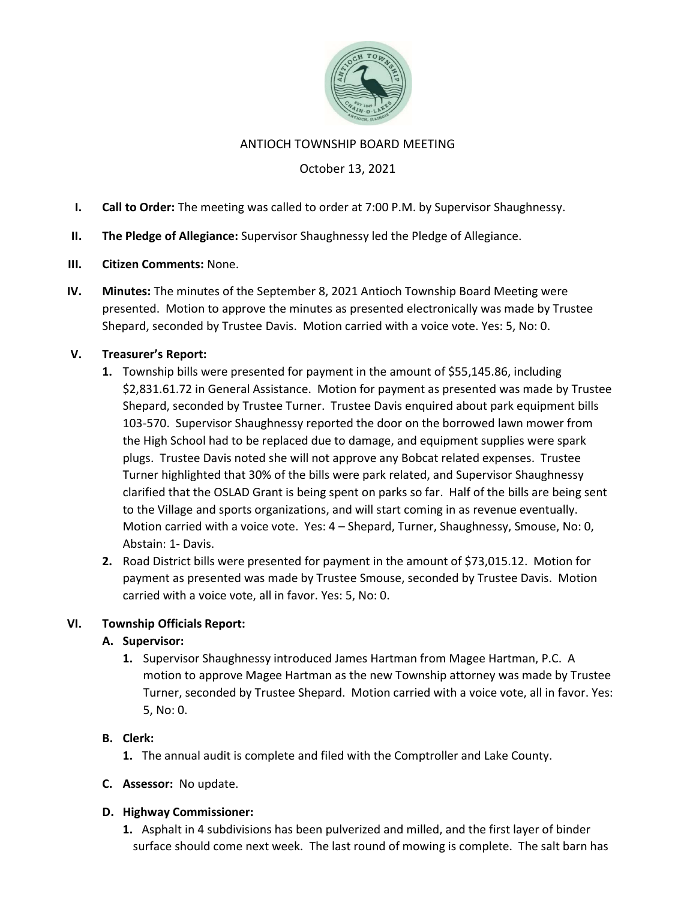

#### ANTIOCH TOWNSHIP BOARD MEETING

## October 13, 2021

- I. Call to Order: The meeting was called to order at 7:00 P.M. by Supervisor Shaughnessy.
- II. The Pledge of Allegiance: Supervisor Shaughnessy led the Pledge of Allegiance.
- III. Citizen Comments: None.
- IV. Minutes: The minutes of the September 8, 2021 Antioch Township Board Meeting were presented. Motion to approve the minutes as presented electronically was made by Trustee Shepard, seconded by Trustee Davis. Motion carried with a voice vote. Yes: 5, No: 0.

## V. Treasurer's Report:

- 1. Township bills were presented for payment in the amount of \$55,145.86, including \$2,831.61.72 in General Assistance. Motion for payment as presented was made by Trustee Shepard, seconded by Trustee Turner. Trustee Davis enquired about park equipment bills 103-570. Supervisor Shaughnessy reported the door on the borrowed lawn mower from the High School had to be replaced due to damage, and equipment supplies were spark plugs. Trustee Davis noted she will not approve any Bobcat related expenses. Trustee Turner highlighted that 30% of the bills were park related, and Supervisor Shaughnessy clarified that the OSLAD Grant is being spent on parks so far. Half of the bills are being sent to the Village and sports organizations, and will start coming in as revenue eventually. Motion carried with a voice vote. Yes: 4 – Shepard, Turner, Shaughnessy, Smouse, No: 0, Abstain: 1- Davis.
- 2. Road District bills were presented for payment in the amount of \$73,015.12. Motion for payment as presented was made by Trustee Smouse, seconded by Trustee Davis. Motion carried with a voice vote, all in favor. Yes: 5, No: 0.

### VI. Township Officials Report:

### A. Supervisor:

1. Supervisor Shaughnessy introduced James Hartman from Magee Hartman, P.C. A motion to approve Magee Hartman as the new Township attorney was made by Trustee Turner, seconded by Trustee Shepard. Motion carried with a voice vote, all in favor. Yes: 5, No: 0.

### B. Clerk:

- 1. The annual audit is complete and filed with the Comptroller and Lake County.
- C. Assessor: No update.

### D. Highway Commissioner:

1. Asphalt in 4 subdivisions has been pulverized and milled, and the first layer of binder surface should come next week. The last round of mowing is complete. The salt barn has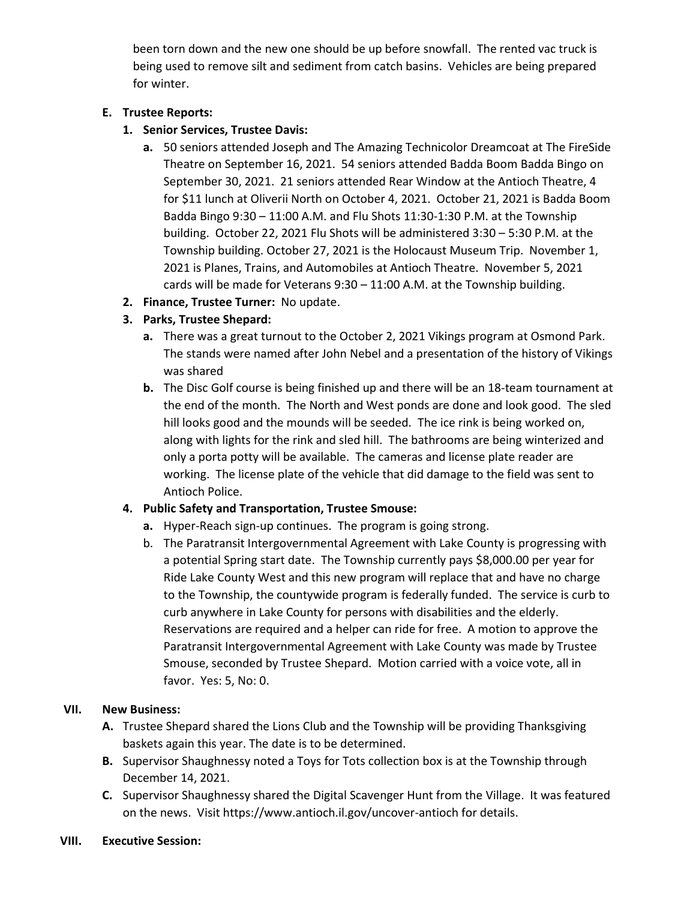been torn down and the new one should be up before snowfall. The rented vac truck is being used to remove silt and sediment from catch basins. Vehicles are being prepared for winter.

## E. Trustee Reports:

- 1. Senior Services, Trustee Davis:
	- a. 50 seniors attended Joseph and The Amazing Technicolor Dreamcoat at The FireSide Theatre on September 16, 2021. 54 seniors attended Badda Boom Badda Bingo on September 30, 2021. 21 seniors attended Rear Window at the Antioch Theatre, 4 for \$11 lunch at Oliverii North on October 4, 2021. October 21, 2021 is Badda Boom Badda Bingo 9:30 – 11:00 A.M. and Flu Shots 11:30-1:30 P.M. at the Township building. October 22, 2021 Flu Shots will be administered 3:30 – 5:30 P.M. at the Township building. October 27, 2021 is the Holocaust Museum Trip. November 1, 2021 is Planes, Trains, and Automobiles at Antioch Theatre. November 5, 2021 cards will be made for Veterans 9:30 – 11:00 A.M. at the Township building.
- 2. Finance, Trustee Turner: No update.
- 3. Parks, Trustee Shepard:
	- a. There was a great turnout to the October 2, 2021 Vikings program at Osmond Park. The stands were named after John Nebel and a presentation of the history of Vikings was shared
	- b. The Disc Golf course is being finished up and there will be an 18-team tournament at the end of the month. The North and West ponds are done and look good. The sled hill looks good and the mounds will be seeded. The ice rink is being worked on, along with lights for the rink and sled hill. The bathrooms are being winterized and only a porta potty will be available. The cameras and license plate reader are working. The license plate of the vehicle that did damage to the field was sent to Antioch Police.

# 4. Public Safety and Transportation, Trustee Smouse:

- a. Hyper-Reach sign-up continues. The program is going strong.
- b. The Paratransit Intergovernmental Agreement with Lake County is progressing with a potential Spring start date. The Township currently pays \$8,000.00 per year for Ride Lake County West and this new program will replace that and have no charge to the Township, the countywide program is federally funded. The service is curb to curb anywhere in Lake County for persons with disabilities and the elderly. Reservations are required and a helper can ride for free. A motion to approve the Paratransit Intergovernmental Agreement with Lake County was made by Trustee Smouse, seconded by Trustee Shepard. Motion carried with a voice vote, all in favor. Yes: 5, No: 0.

### VII. New Business:

- A. Trustee Shepard shared the Lions Club and the Township will be providing Thanksgiving baskets again this year. The date is to be determined.
- B. Supervisor Shaughnessy noted a Toys for Tots collection box is at the Township through December 14, 2021.
- C. Supervisor Shaughnessy shared the Digital Scavenger Hunt from the Village. It was featured on the news. Visit https://www.antioch.il.gov/uncover-antioch for details.